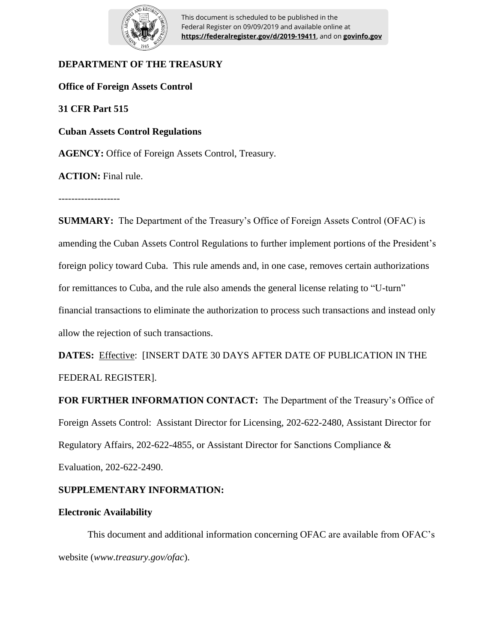

This document is scheduled to be published in the Federal Register on 09/09/2019 and available online at **https://federalregister.gov/d/2019-19411**, and on **govinfo.gov**

# **DEPARTMENT OF THE TREASURY**

**Office of Foreign Assets Control**

**31 CFR Part 515**

**Cuban Assets Control Regulations**

**AGENCY:** Office of Foreign Assets Control, Treasury.

**ACTION:** Final rule.

**SUMMARY:** The Department of the Treasury's Office of Foreign Assets Control (OFAC) is amending the Cuban Assets Control Regulations to further implement portions of the President's foreign policy toward Cuba. This rule amends and, in one case, removes certain authorizations for remittances to Cuba, and the rule also amends the general license relating to "U-turn" financial transactions to eliminate the authorization to process such transactions and instead only allow the rejection of such transactions.

**DATES:** Effective: [INSERT DATE 30 DAYS AFTER DATE OF PUBLICATION IN THE FEDERAL REGISTER].

**FOR FURTHER INFORMATION CONTACT:** The Department of the Treasury's Office of Foreign Assets Control: Assistant Director for Licensing, 202-622-2480, Assistant Director for Regulatory Affairs, 202-622-4855, or Assistant Director for Sanctions Compliance & Evaluation, 202-622-2490.

# **SUPPLEMENTARY INFORMATION:**

### **Electronic Availability**

This document and additional information concerning OFAC are available from OFAC's website (*www.treasury.gov/ofac*).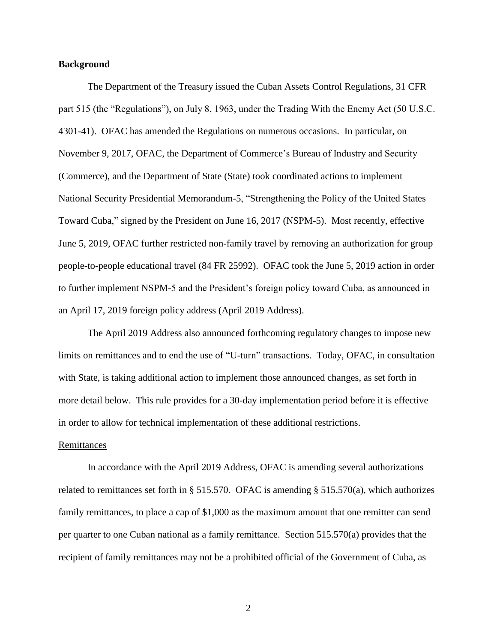### **Background**

The Department of the Treasury issued the Cuban Assets Control Regulations, 31 CFR part 515 (the "Regulations"), on July 8, 1963, under the Trading With the Enemy Act (50 U.S.C. 4301-41). OFAC has amended the Regulations on numerous occasions. In particular, on November 9, 2017, OFAC, the Department of Commerce's Bureau of Industry and Security (Commerce), and the Department of State (State) took coordinated actions to implement National Security Presidential Memorandum-5, "Strengthening the Policy of the United States Toward Cuba," signed by the President on June 16, 2017 (NSPM-5). Most recently, effective June 5, 2019, OFAC further restricted non-family travel by removing an authorization for group people-to-people educational travel (84 FR 25992). OFAC took the June 5, 2019 action in order to further implement NSPM-5 and the President's foreign policy toward Cuba, as announced in an April 17, 2019 foreign policy address (April 2019 Address).

The April 2019 Address also announced forthcoming regulatory changes to impose new limits on remittances and to end the use of "U-turn" transactions. Today, OFAC, in consultation with State, is taking additional action to implement those announced changes, as set forth in more detail below. This rule provides for a 30-day implementation period before it is effective in order to allow for technical implementation of these additional restrictions.

#### Remittances

In accordance with the April 2019 Address, OFAC is amending several authorizations related to remittances set forth in § 515.570. OFAC is amending § 515.570(a), which authorizes family remittances, to place a cap of \$1,000 as the maximum amount that one remitter can send per quarter to one Cuban national as a family remittance. Section 515.570(a) provides that the recipient of family remittances may not be a prohibited official of the Government of Cuba, as

2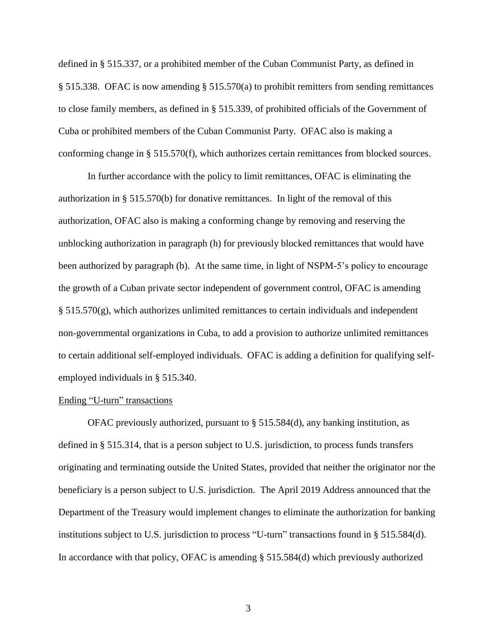defined in § 515.337, or a prohibited member of the Cuban Communist Party, as defined in § 515.338. OFAC is now amending § 515.570(a) to prohibit remitters from sending remittances to close family members, as defined in § 515.339, of prohibited officials of the Government of Cuba or prohibited members of the Cuban Communist Party. OFAC also is making a conforming change in § 515.570(f), which authorizes certain remittances from blocked sources.

In further accordance with the policy to limit remittances, OFAC is eliminating the authorization in § 515.570(b) for donative remittances. In light of the removal of this authorization, OFAC also is making a conforming change by removing and reserving the unblocking authorization in paragraph (h) for previously blocked remittances that would have been authorized by paragraph (b). At the same time, in light of NSPM-5's policy to encourage the growth of a Cuban private sector independent of government control, OFAC is amending  $\S 515.570(g)$ , which authorizes unlimited remittances to certain individuals and independent non-governmental organizations in Cuba, to add a provision to authorize unlimited remittances to certain additional self-employed individuals. OFAC is adding a definition for qualifying selfemployed individuals in § 515.340.

### Ending "U-turn" transactions

OFAC previously authorized, pursuant to § 515.584(d), any banking institution, as defined in § 515.314, that is a person subject to U.S. jurisdiction, to process funds transfers originating and terminating outside the United States, provided that neither the originator nor the beneficiary is a person subject to U.S. jurisdiction. The April 2019 Address announced that the Department of the Treasury would implement changes to eliminate the authorization for banking institutions subject to U.S. jurisdiction to process "U-turn" transactions found in § 515.584(d). In accordance with that policy, OFAC is amending § 515.584(d) which previously authorized

3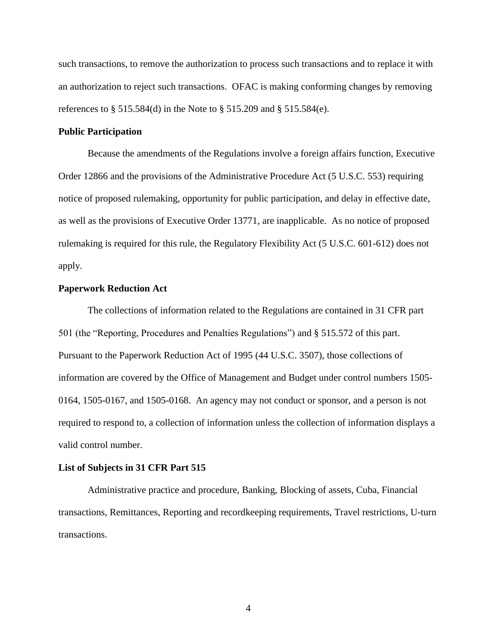such transactions, to remove the authorization to process such transactions and to replace it with an authorization to reject such transactions. OFAC is making conforming changes by removing references to § 515.584(d) in the Note to § 515.209 and § 515.584(e).

### **Public Participation**

Because the amendments of the Regulations involve a foreign affairs function, Executive Order 12866 and the provisions of the Administrative Procedure Act (5 U.S.C. 553) requiring notice of proposed rulemaking, opportunity for public participation, and delay in effective date, as well as the provisions of Executive Order 13771, are inapplicable. As no notice of proposed rulemaking is required for this rule, the Regulatory Flexibility Act (5 U.S.C. 601-612) does not apply.

### **Paperwork Reduction Act**

The collections of information related to the Regulations are contained in 31 CFR part 501 (the "Reporting, Procedures and Penalties Regulations") and § 515.572 of this part. Pursuant to the Paperwork Reduction Act of 1995 (44 U.S.C. 3507), those collections of information are covered by the Office of Management and Budget under control numbers 1505- 0164, 1505-0167, and 1505-0168. An agency may not conduct or sponsor, and a person is not required to respond to, a collection of information unless the collection of information displays a valid control number.

#### **List of Subjects in 31 CFR Part 515**

Administrative practice and procedure, Banking, Blocking of assets, Cuba, Financial transactions, Remittances, Reporting and recordkeeping requirements, Travel restrictions, U-turn transactions.

4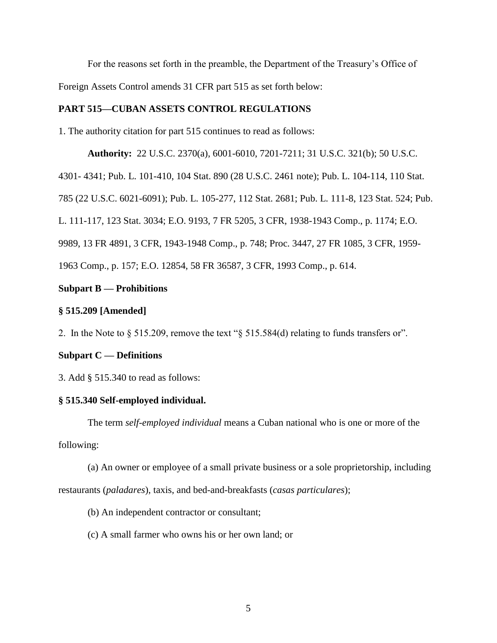For the reasons set forth in the preamble, the Department of the Treasury's Office of Foreign Assets Control amends 31 CFR part 515 as set forth below:

## **PART 515—CUBAN ASSETS CONTROL REGULATIONS**

1. The authority citation for part 515 continues to read as follows:

**Authority:** 22 U.S.C. 2370(a), 6001-6010, 7201-7211; 31 U.S.C. 321(b); 50 U.S.C.

4301- 4341; Pub. L. 101-410, 104 Stat. 890 (28 U.S.C. 2461 note); Pub. L. 104-114, 110 Stat.

785 (22 U.S.C. 6021-6091); Pub. L. 105-277, 112 Stat. 2681; Pub. L. 111-8, 123 Stat. 524; Pub.

L. 111-117, 123 Stat. 3034; E.O. 9193, 7 FR 5205, 3 CFR, 1938-1943 Comp., p. 1174; E.O.

9989, 13 FR 4891, 3 CFR, 1943-1948 Comp., p. 748; Proc. 3447, 27 FR 1085, 3 CFR, 1959-

1963 Comp., p. 157; E.O. 12854, 58 FR 36587, 3 CFR, 1993 Comp., p. 614.

## **Subpart B — Prohibitions**

## **§ 515.209 [Amended]**

2. In the Note to § 515.209, remove the text "§ 515.584(d) relating to funds transfers or".

# **Subpart C — Definitions**

3. Add § 515.340 to read as follows:

# **§ 515.340 Self-employed individual.**

The term *self-employed individual* means a Cuban national who is one or more of the following:

(a) An owner or employee of a small private business or a sole proprietorship, including restaurants (*paladares*), taxis, and bed-and-breakfasts (*casas particulares*);

(b) An independent contractor or consultant;

(c) A small farmer who owns his or her own land; or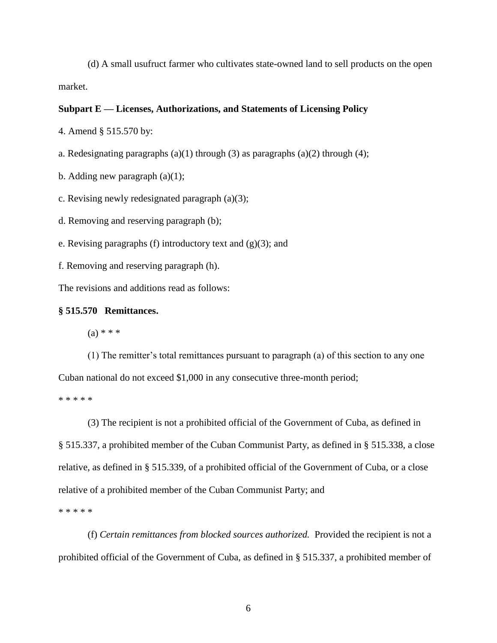(d) A small usufruct farmer who cultivates state-owned land to sell products on the open market.

### **Subpart E — Licenses, Authorizations, and Statements of Licensing Policy**

4. Amend § 515.570 by:

a. Redesignating paragraphs (a)(1) through (3) as paragraphs (a)(2) through (4);

b. Adding new paragraph  $(a)(1)$ ;

c. Revising newly redesignated paragraph (a)(3);

d. Removing and reserving paragraph (b);

e. Revising paragraphs (f) introductory text and  $(g)(3)$ ; and

f. Removing and reserving paragraph (h).

The revisions and additions read as follows:

#### **§ 515.570 Remittances.**

 $(a) * * *$ 

(1) The remitter's total remittances pursuant to paragraph (a) of this section to any one Cuban national do not exceed \$1,000 in any consecutive three-month period;

\* \* \* \* \*

(3) The recipient is not a prohibited official of the Government of Cuba, as defined in § 515.337, a prohibited member of the Cuban Communist Party, as defined in § 515.338, a close relative, as defined in § 515.339, of a prohibited official of the Government of Cuba, or a close relative of a prohibited member of the Cuban Communist Party; and \* \* \* \* \*

(f) *Certain remittances from blocked sources authorized.* Provided the recipient is not a prohibited official of the Government of Cuba, as defined in § 515.337, a prohibited member of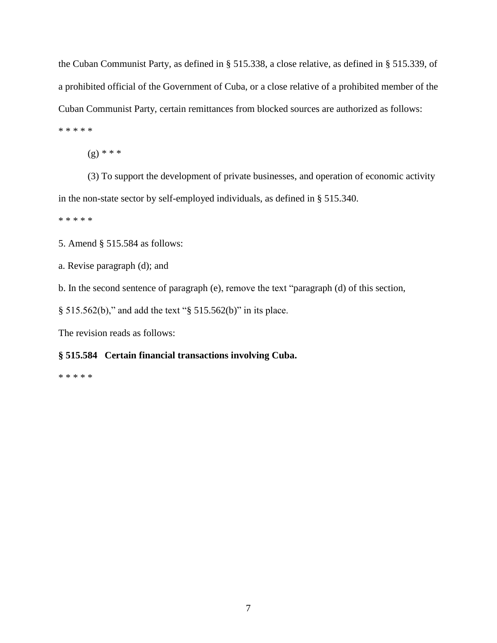the Cuban Communist Party, as defined in § 515.338, a close relative, as defined in § 515.339, of a prohibited official of the Government of Cuba, or a close relative of a prohibited member of the Cuban Communist Party, certain remittances from blocked sources are authorized as follows: \* \* \* \* \*

(g) *\* \* \**

(3) To support the development of private businesses, and operation of economic activity in the non-state sector by self-employed individuals, as defined in § 515.340.

\* \* \* \* \*

5. Amend § 515.584 as follows:

a. Revise paragraph (d); and

b. In the second sentence of paragraph (e), remove the text "paragraph (d) of this section,

§ 515.562(b)," and add the text "§ 515.562(b)" in its place.

The revision reads as follows:

### **§ 515.584 Certain financial transactions involving Cuba.**

\* \* \* \* \*